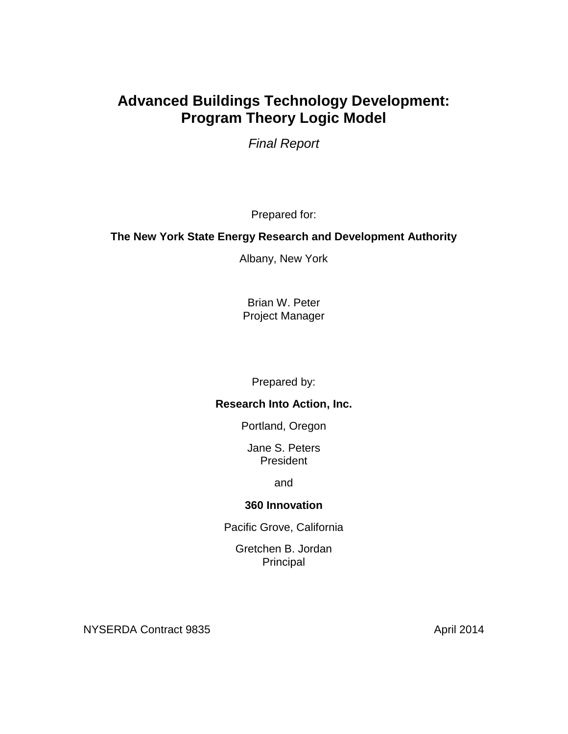# **Advanced Buildings Technology Development: Program Theory Logic Model**

*Final Report*

Prepared for:

#### **The New York State Energy Research and Development Authority**

Albany, New York

Brian W. Peter Project Manager

Prepared by:

#### **Research Into Action, Inc.**

Portland, Oregon

Jane S. Peters President

and

#### **360 Innovation**

Pacific Grove, California

Gretchen B. Jordan Principal

NYSERDA Contract 9835 April 2014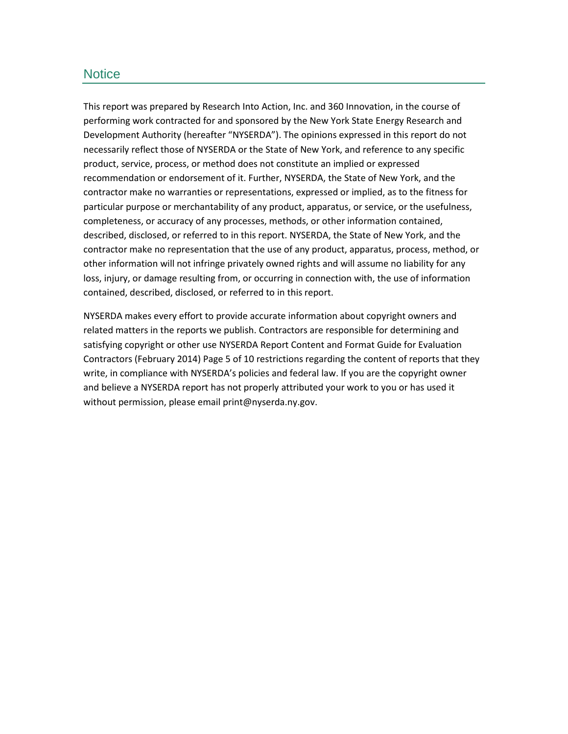#### **Notice**

This report was prepared by Research Into Action, Inc. and 360 Innovation, in the course of performing work contracted for and sponsored by the New York State Energy Research and Development Authority (hereafter "NYSERDA"). The opinions expressed in this report do not necessarily reflect those of NYSERDA or the State of New York, and reference to any specific product, service, process, or method does not constitute an implied or expressed recommendation or endorsement of it. Further, NYSERDA, the State of New York, and the contractor make no warranties or representations, expressed or implied, as to the fitness for particular purpose or merchantability of any product, apparatus, or service, or the usefulness, completeness, or accuracy of any processes, methods, or other information contained, described, disclosed, or referred to in this report. NYSERDA, the State of New York, and the contractor make no representation that the use of any product, apparatus, process, method, or other information will not infringe privately owned rights and will assume no liability for any loss, injury, or damage resulting from, or occurring in connection with, the use of information contained, described, disclosed, or referred to in this report.

NYSERDA makes every effort to provide accurate information about copyright owners and related matters in the reports we publish. Contractors are responsible for determining and satisfying copyright or other use NYSERDA Report Content and Format Guide for Evaluation Contractors (February 2014) Page 5 of 10 restrictions regarding the content of reports that they write, in compliance with NYSERDA's policies and federal law. If you are the copyright owner and believe a NYSERDA report has not properly attributed your work to you or has used it without permission, please email print@nyserda.ny.gov.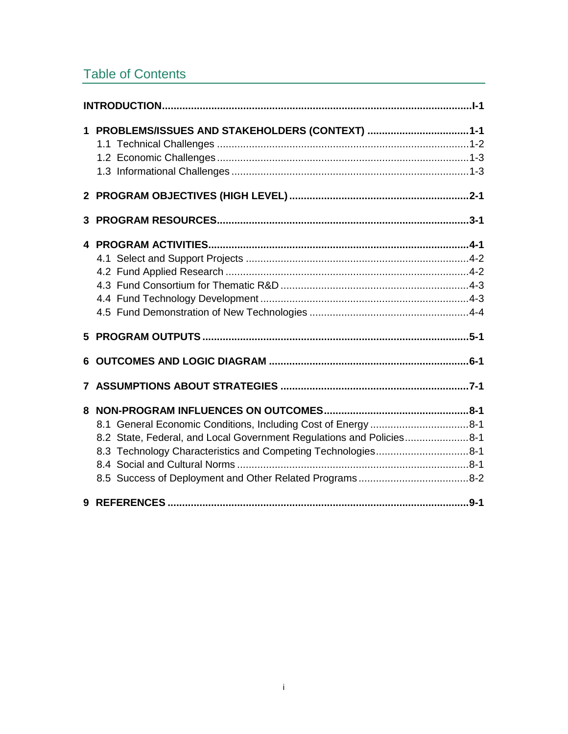# Table of Contents

| $\mathbf 1$ | PROBLEMS/ISSUES AND STAKEHOLDERS (CONTEXT) 1-1                                                                                       |
|-------------|--------------------------------------------------------------------------------------------------------------------------------------|
|             |                                                                                                                                      |
| 3           |                                                                                                                                      |
|             |                                                                                                                                      |
|             |                                                                                                                                      |
|             |                                                                                                                                      |
|             |                                                                                                                                      |
|             | 8.2 State, Federal, and Local Government Regulations and Policies8-1<br>8.3 Technology Characteristics and Competing Technologies8-1 |
|             |                                                                                                                                      |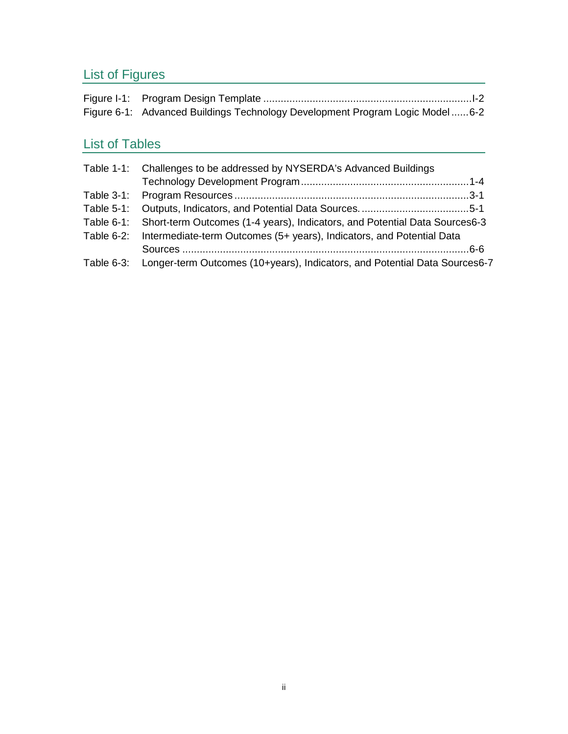# List of Figures

| Figure 6-1: Advanced Buildings Technology Development Program Logic Model6-2 |  |
|------------------------------------------------------------------------------|--|

# List of Tables

| Table 1-1: Challenges to be addressed by NYSERDA's Advanced Buildings                 |
|---------------------------------------------------------------------------------------|
|                                                                                       |
|                                                                                       |
|                                                                                       |
| Table 6-1: Short-term Outcomes (1-4 years), Indicators, and Potential Data Sources6-3 |
| Table 6-2: Intermediate-term Outcomes (5+ years), Indicators, and Potential Data      |
|                                                                                       |
| Table 6-3: Longer-term Outcomes (10+years), Indicators, and Potential Data Sources6-7 |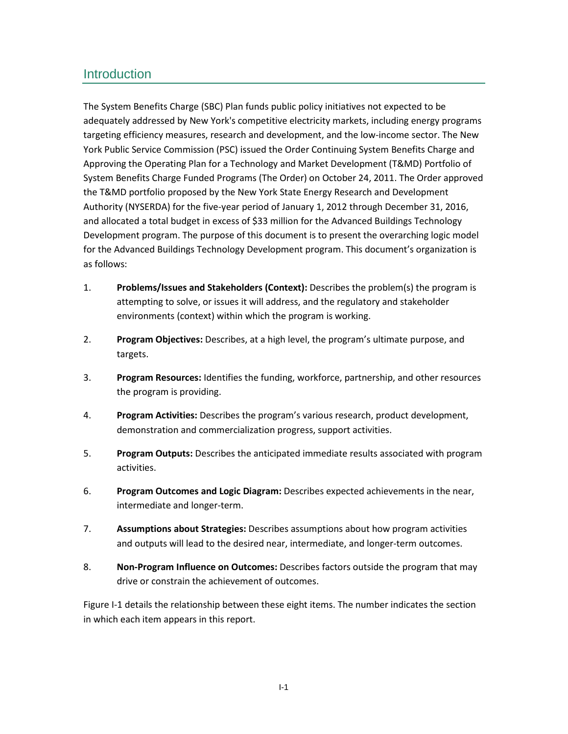## <span id="page-6-0"></span>**Introduction**

The System Benefits Charge (SBC) Plan funds public policy initiatives not expected to be adequately addressed by New York's competitive electricity markets, including energy programs targeting efficiency measures, research and development, and the low-income sector. The New York Public Service Commission (PSC) issued the Order Continuing System Benefits Charge and Approving the Operating Plan for a Technology and Market Development (T&MD) Portfolio of System Benefits Charge Funded Programs (The Order) on October 24, 2011. The Order approved the T&MD portfolio proposed by the New York State Energy Research and Development Authority (NYSERDA) for the five-year period of January 1, 2012 through December 31, 2016, and allocated a total budget in excess of \$33 million for the Advanced Buildings Technology Development program. The purpose of this document is to present the overarching logic model for the Advanced Buildings Technology Development program. This document's organization is as follows:

- 1. **Problems/Issues and Stakeholders (Context):** Describes the problem(s) the program is attempting to solve, or issues it will address, and the regulatory and stakeholder environments (context) within which the program is working.
- 2. **Program Objectives:** Describes, at a high level, the program's ultimate purpose, and targets.
- 3. **Program Resources:** Identifies the funding, workforce, partnership, and other resources the program is providing.
- 4. **Program Activities:** Describes the program's various research, product development, demonstration and commercialization progress, support activities.
- 5. **Program Outputs:** Describes the anticipated immediate results associated with program activities.
- 6. **Program Outcomes and Logic Diagram:** Describes expected achievements in the near, intermediate and longer-term.
- 7. **Assumptions about Strategies:** Describes assumptions about how program activities and outputs will lead to the desired near, intermediate, and longer-term outcomes.
- 8. **Non-Program Influence on Outcomes:** Describes factors outside the program that may drive or constrain the achievement of outcomes.

[Figure](#page-7-0) I-1 details the relationship between these eight items. The number indicates the section in which each item appears in this report.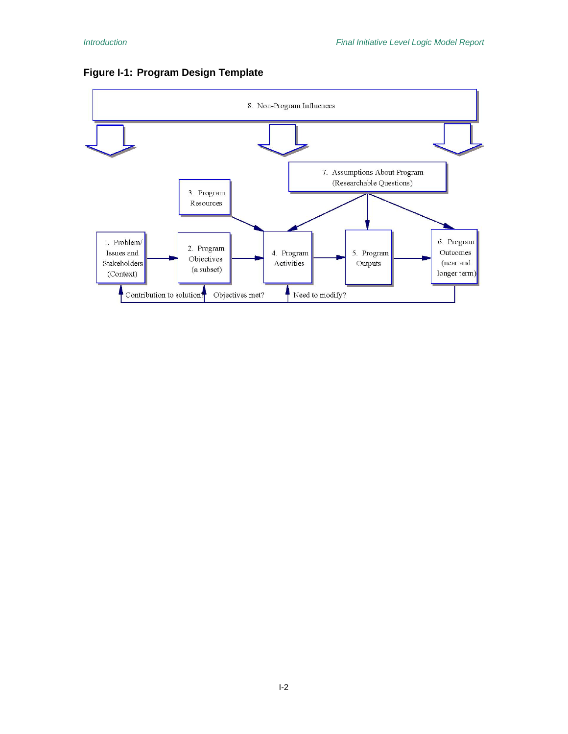

#### <span id="page-7-0"></span>**Figure I-1: Program Design Template**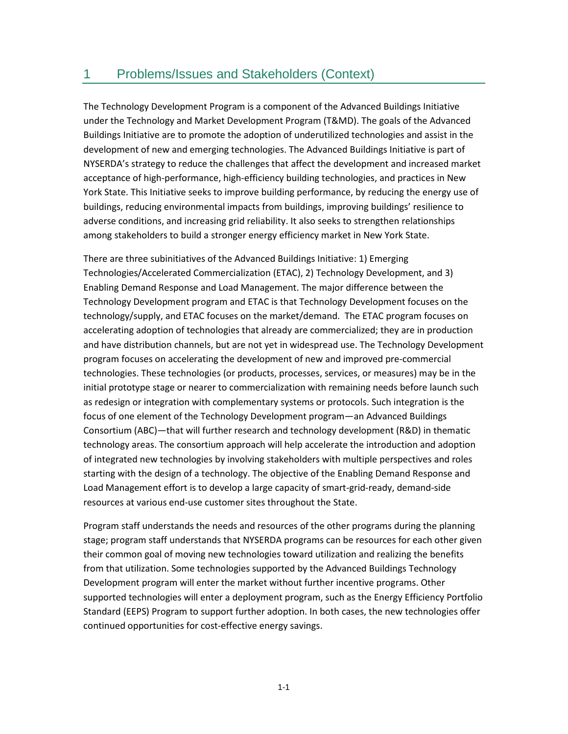## <span id="page-8-0"></span>1 Problems/Issues and Stakeholders (Context)

The Technology Development Program is a component of the Advanced Buildings Initiative under the Technology and Market Development Program (T&MD). The goals of the Advanced Buildings Initiative are to promote the adoption of underutilized technologies and assist in the development of new and emerging technologies. The Advanced Buildings Initiative is part of NYSERDA's strategy to reduce the challenges that affect the development and increased market acceptance of high-performance, high-efficiency building technologies, and practices in New York State. This Initiative seeks to improve building performance, by reducing the energy use of buildings, reducing environmental impacts from buildings, improving buildings' resilience to adverse conditions, and increasing grid reliability. It also seeks to strengthen relationships among stakeholders to build a stronger energy efficiency market in New York State.

There are three subinitiatives of the Advanced Buildings Initiative: 1) Emerging Technologies/Accelerated Commercialization (ETAC), 2) Technology Development, and 3) Enabling Demand Response and Load Management. The major difference between the Technology Development program and ETAC is that Technology Development focuses on the technology/supply, and ETAC focuses on the market/demand. The ETAC program focuses on accelerating adoption of technologies that already are commercialized; they are in production and have distribution channels, but are not yet in widespread use. The Technology Development program focuses on accelerating the development of new and improved pre-commercial technologies. These technologies (or products, processes, services, or measures) may be in the initial prototype stage or nearer to commercialization with remaining needs before launch such as redesign or integration with complementary systems or protocols. Such integration is the focus of one element of the Technology Development program—an Advanced Buildings Consortium (ABC)—that will further research and technology development (R&D) in thematic technology areas. The consortium approach will help accelerate the introduction and adoption of integrated new technologies by involving stakeholders with multiple perspectives and roles starting with the design of a technology. The objective of the Enabling Demand Response and Load Management effort is to develop a large capacity of smart-grid-ready, demand-side resources at various end-use customer sites throughout the State.

Program staff understands the needs and resources of the other programs during the planning stage; program staff understands that NYSERDA programs can be resources for each other given their common goal of moving new technologies toward utilization and realizing the benefits from that utilization. Some technologies supported by the Advanced Buildings Technology Development program will enter the market without further incentive programs. Other supported technologies will enter a deployment program, such as the Energy Efficiency Portfolio Standard (EEPS) Program to support further adoption. In both cases, the new technologies offer continued opportunities for cost-effective energy savings.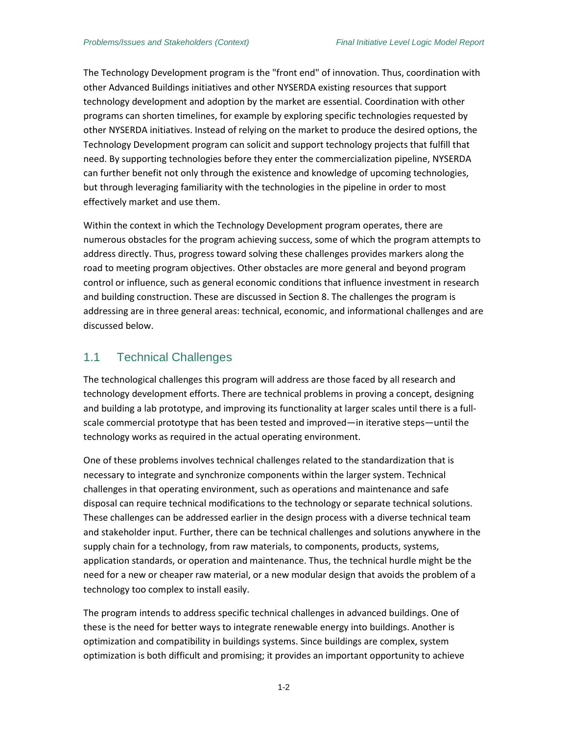The Technology Development program is the "front end" of innovation. Thus, coordination with other Advanced Buildings initiatives and other NYSERDA existing resources that support technology development and adoption by the market are essential. Coordination with other programs can shorten timelines, for example by exploring specific technologies requested by other NYSERDA initiatives. Instead of relying on the market to produce the desired options, the Technology Development program can solicit and support technology projects that fulfill that need. By supporting technologies before they enter the commercialization pipeline, NYSERDA can further benefit not only through the existence and knowledge of upcoming technologies, but through leveraging familiarity with the technologies in the pipeline in order to most effectively market and use them.

Within the context in which the Technology Development program operates, there are numerous obstacles for the program achieving success, some of which the program attempts to address directly. Thus, progress toward solving these challenges provides markers along the road to meeting program objectives. Other obstacles are more general and beyond program control or influence, such as general economic conditions that influence investment in research and building construction. These are discussed in Section 8. The challenges the program is addressing are in three general areas: technical, economic, and informational challenges and are discussed below.

### <span id="page-9-0"></span>1.1 Technical Challenges

The technological challenges this program will address are those faced by all research and technology development efforts. There are technical problems in proving a concept, designing and building a lab prototype, and improving its functionality at larger scales until there is a fullscale commercial prototype that has been tested and improved—in iterative steps—until the technology works as required in the actual operating environment.

One of these problems involves technical challenges related to the standardization that is necessary to integrate and synchronize components within the larger system. Technical challenges in that operating environment, such as operations and maintenance and safe disposal can require technical modifications to the technology or separate technical solutions. These challenges can be addressed earlier in the design process with a diverse technical team and stakeholder input. Further, there can be technical challenges and solutions anywhere in the supply chain for a technology, from raw materials, to components, products, systems, application standards, or operation and maintenance. Thus, the technical hurdle might be the need for a new or cheaper raw material, or a new modular design that avoids the problem of a technology too complex to install easily.

The program intends to address specific technical challenges in advanced buildings. One of these is the need for better ways to integrate renewable energy into buildings. Another is optimization and compatibility in buildings systems. Since buildings are complex, system optimization is both difficult and promising; it provides an important opportunity to achieve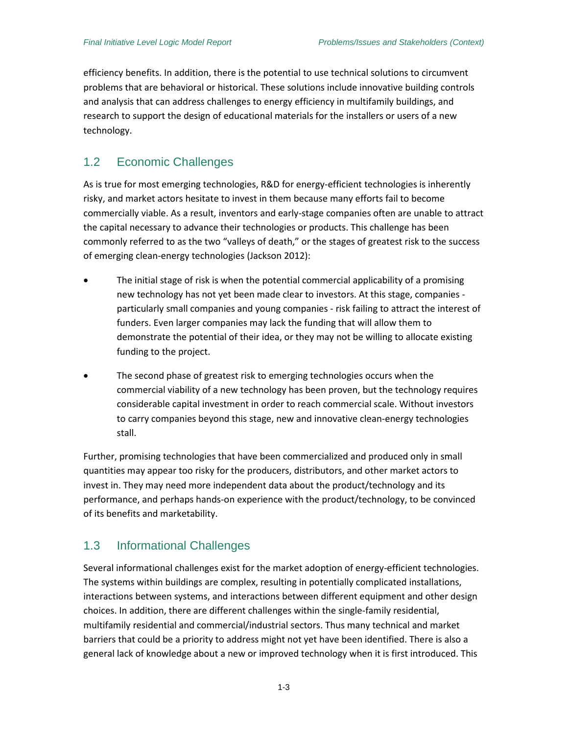efficiency benefits. In addition, there is the potential to use technical solutions to circumvent problems that are behavioral or historical. These solutions include innovative building controls and analysis that can address challenges to energy efficiency in multifamily buildings, and research to support the design of educational materials for the installers or users of a new technology.

## <span id="page-10-0"></span>1.2 Economic Challenges

As is true for most emerging technologies, R&D for energy-efficient technologies is inherently risky, and market actors hesitate to invest in them because many efforts fail to become commercially viable. As a result, inventors and early-stage companies often are unable to attract the capital necessary to advance their technologies or products. This challenge has been commonly referred to as the two "valleys of death," or the stages of greatest risk to the success of emerging clean-energy technologies (Jackson 2012):

- The initial stage of risk is when the potential commercial applicability of a promising new technology has not yet been made clear to investors. At this stage, companies particularly small companies and young companies - risk failing to attract the interest of funders. Even larger companies may lack the funding that will allow them to demonstrate the potential of their idea, or they may not be willing to allocate existing funding to the project.
- The second phase of greatest risk to emerging technologies occurs when the commercial viability of a new technology has been proven, but the technology requires considerable capital investment in order to reach commercial scale. Without investors to carry companies beyond this stage, new and innovative clean-energy technologies stall.

Further, promising technologies that have been commercialized and produced only in small quantities may appear too risky for the producers, distributors, and other market actors to invest in. They may need more independent data about the product/technology and its performance, and perhaps hands-on experience with the product/technology, to be convinced of its benefits and marketability.

### <span id="page-10-1"></span>1.3 Informational Challenges

Several informational challenges exist for the market adoption of energy-efficient technologies. The systems within buildings are complex, resulting in potentially complicated installations, interactions between systems, and interactions between different equipment and other design choices. In addition, there are different challenges within the single-family residential, multifamily residential and commercial/industrial sectors. Thus many technical and market barriers that could be a priority to address might not yet have been identified. There is also a general lack of knowledge about a new or improved technology when it is first introduced. This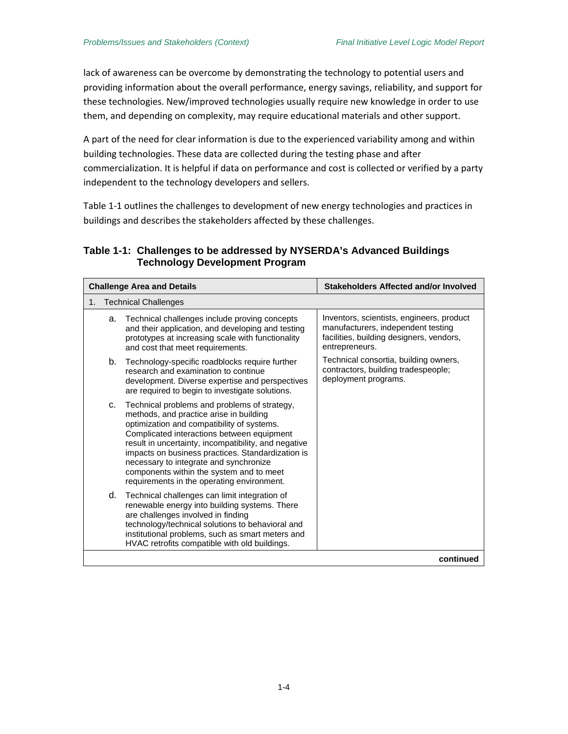lack of awareness can be overcome by demonstrating the technology to potential users and providing information about the overall performance, energy savings, reliability, and support for these technologies. New/improved technologies usually require new knowledge in order to use them, and depending on complexity, may require educational materials and other support.

A part of the need for clear information is due to the experienced variability among and within building technologies. These data are collected during the testing phase and after commercialization. It is helpful if data on performance and cost is collected or verified by a party independent to the technology developers and sellers.

[Table 1-1](#page-11-0) outlines the challenges to development of new energy technologies and practices in buildings and describes the stakeholders affected by these challenges.

#### <span id="page-11-0"></span>**Table 1-1: Challenges to be addressed by NYSERDA's Advanced Buildings Technology Development Program**

| <b>Challenge Area and Details</b> |                             |                                                                                                                                                                                                                                                                                                                                                                                                                                      | <b>Stakeholders Affected and/or Involved</b>                                                                                                  |
|-----------------------------------|-----------------------------|--------------------------------------------------------------------------------------------------------------------------------------------------------------------------------------------------------------------------------------------------------------------------------------------------------------------------------------------------------------------------------------------------------------------------------------|-----------------------------------------------------------------------------------------------------------------------------------------------|
| 1.                                | <b>Technical Challenges</b> |                                                                                                                                                                                                                                                                                                                                                                                                                                      |                                                                                                                                               |
|                                   | a.                          | Technical challenges include proving concepts<br>and their application, and developing and testing<br>prototypes at increasing scale with functionality<br>and cost that meet requirements.                                                                                                                                                                                                                                          | Inventors, scientists, engineers, product<br>manufacturers, independent testing<br>facilities, building designers, vendors,<br>entrepreneurs. |
|                                   | b.                          | Technology-specific roadblocks require further<br>research and examination to continue<br>development. Diverse expertise and perspectives<br>are required to begin to investigate solutions.                                                                                                                                                                                                                                         | Technical consortia, building owners,<br>contractors, building tradespeople;<br>deployment programs.                                          |
|                                   | C.                          | Technical problems and problems of strategy,<br>methods, and practice arise in building<br>optimization and compatibility of systems.<br>Complicated interactions between equipment<br>result in uncertainty, incompatibility, and negative<br>impacts on business practices. Standardization is<br>necessary to integrate and synchronize<br>components within the system and to meet<br>requirements in the operating environment. |                                                                                                                                               |
|                                   | d.                          | Technical challenges can limit integration of<br>renewable energy into building systems. There<br>are challenges involved in finding<br>technology/technical solutions to behavioral and<br>institutional problems, such as smart meters and<br>HVAC retrofits compatible with old buildings.                                                                                                                                        |                                                                                                                                               |
|                                   |                             |                                                                                                                                                                                                                                                                                                                                                                                                                                      | continued                                                                                                                                     |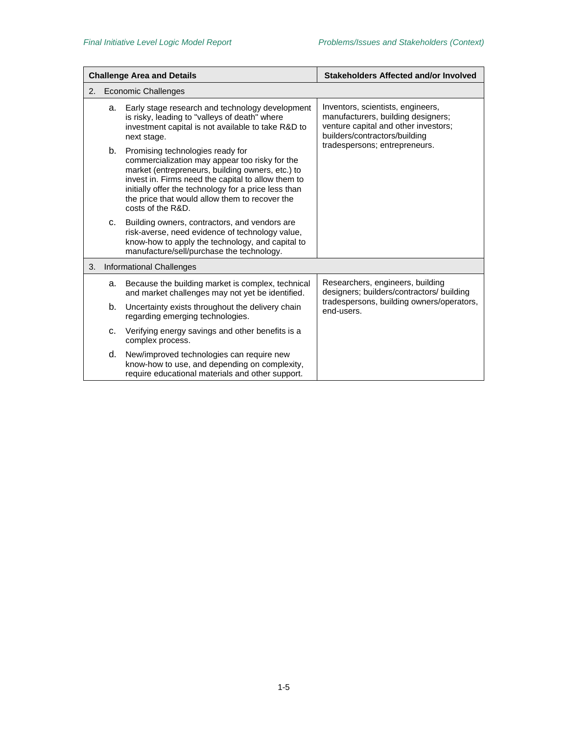| <b>Challenge Area and Details</b> |    |                                                                                                                                                                                                                                                                                                                                | Stakeholders Affected and/or Involved                                                                                                            |
|-----------------------------------|----|--------------------------------------------------------------------------------------------------------------------------------------------------------------------------------------------------------------------------------------------------------------------------------------------------------------------------------|--------------------------------------------------------------------------------------------------------------------------------------------------|
| <b>Economic Challenges</b><br>2.  |    |                                                                                                                                                                                                                                                                                                                                |                                                                                                                                                  |
|                                   | a. | Early stage research and technology development<br>is risky, leading to "valleys of death" where<br>investment capital is not available to take R&D to<br>next stage.                                                                                                                                                          | Inventors, scientists, engineers,<br>manufacturers, building designers;<br>venture capital and other investors;<br>builders/contractors/building |
|                                   |    | b. Promising technologies ready for<br>commercialization may appear too risky for the<br>market (entrepreneurs, building owners, etc.) to<br>invest in. Firms need the capital to allow them to<br>initially offer the technology for a price less than<br>the price that would allow them to recover the<br>costs of the R&D. | tradespersons; entrepreneurs.                                                                                                                    |
|                                   | C. | Building owners, contractors, and vendors are<br>risk-averse, need evidence of technology value,<br>know-how to apply the technology, and capital to<br>manufacture/sell/purchase the technology.                                                                                                                              |                                                                                                                                                  |
| 3.                                |    | <b>Informational Challenges</b>                                                                                                                                                                                                                                                                                                |                                                                                                                                                  |
|                                   | а. | Because the building market is complex, technical<br>and market challenges may not yet be identified.                                                                                                                                                                                                                          | Researchers, engineers, building<br>designers; builders/contractors/ building                                                                    |
|                                   | b. | Uncertainty exists throughout the delivery chain<br>regarding emerging technologies.                                                                                                                                                                                                                                           | tradespersons, building owners/operators,<br>end-users.                                                                                          |
|                                   | c. | Verifying energy savings and other benefits is a<br>complex process.                                                                                                                                                                                                                                                           |                                                                                                                                                  |
|                                   | d. | New/improved technologies can require new<br>know-how to use, and depending on complexity,<br>require educational materials and other support.                                                                                                                                                                                 |                                                                                                                                                  |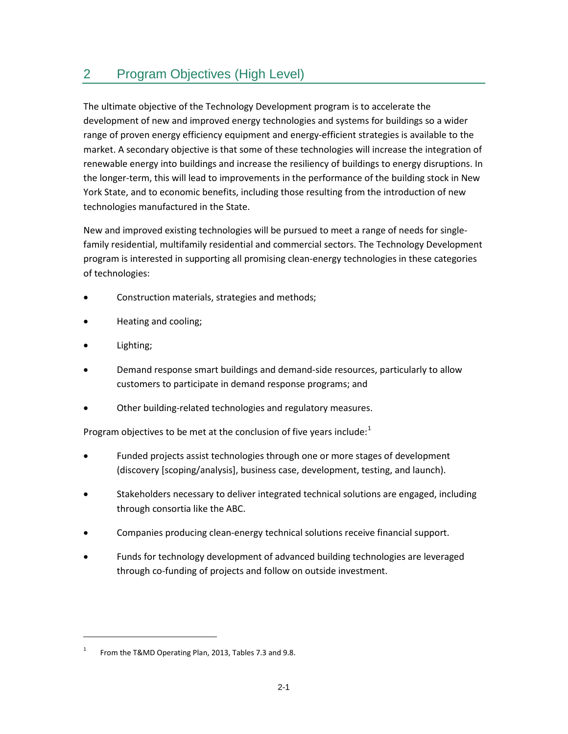# <span id="page-14-0"></span>2 Program Objectives (High Level)

The ultimate objective of the Technology Development program is to accelerate the development of new and improved energy technologies and systems for buildings so a wider range of proven energy efficiency equipment and energy-efficient strategies is available to the market. A secondary objective is that some of these technologies will increase the integration of renewable energy into buildings and increase the resiliency of buildings to energy disruptions. In the longer-term, this will lead to improvements in the performance of the building stock in New York State, and to economic benefits, including those resulting from the introduction of new technologies manufactured in the State.

New and improved existing technologies will be pursued to meet a range of needs for singlefamily residential, multifamily residential and commercial sectors. The Technology Development program is interested in supporting all promising clean-energy technologies in these categories of technologies:

- Construction materials, strategies and methods;
- Heating and cooling;
- Lighting;

l

- Demand response smart buildings and demand-side resources, particularly to allow customers to participate in demand response programs; and
- Other building-related technologies and regulatory measures.

Program objectives to be met at the conclusion of five years include:<sup>[1](#page-14-1)</sup>

- Funded projects assist technologies through one or more stages of development (discovery [scoping/analysis], business case, development, testing, and launch).
- Stakeholders necessary to deliver integrated technical solutions are engaged, including through consortia like the ABC.
- Companies producing clean-energy technical solutions receive financial support.
- Funds for technology development of advanced building technologies are leveraged through co-funding of projects and follow on outside investment.

<span id="page-14-1"></span><sup>&</sup>lt;sup>1</sup> From the T&MD Operating Plan, 2013, Tables 7.3 and 9.8.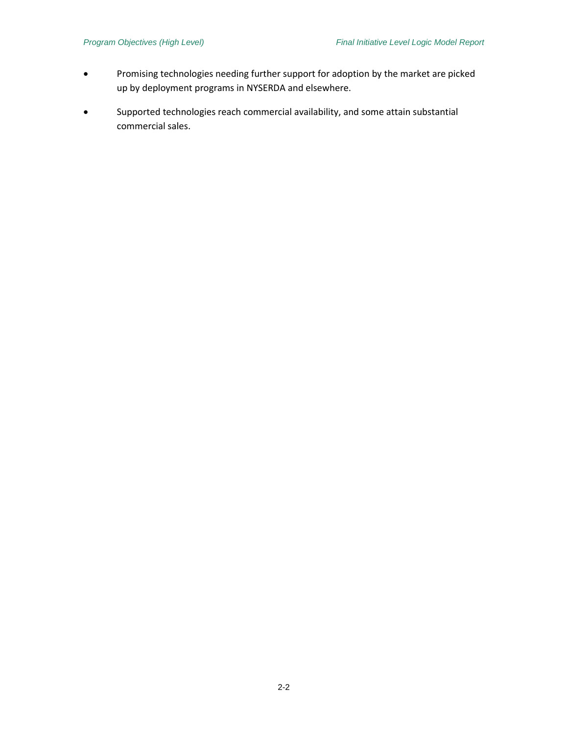- Promising technologies needing further support for adoption by the market are picked up by deployment programs in NYSERDA and elsewhere.
- Supported technologies reach commercial availability, and some attain substantial commercial sales.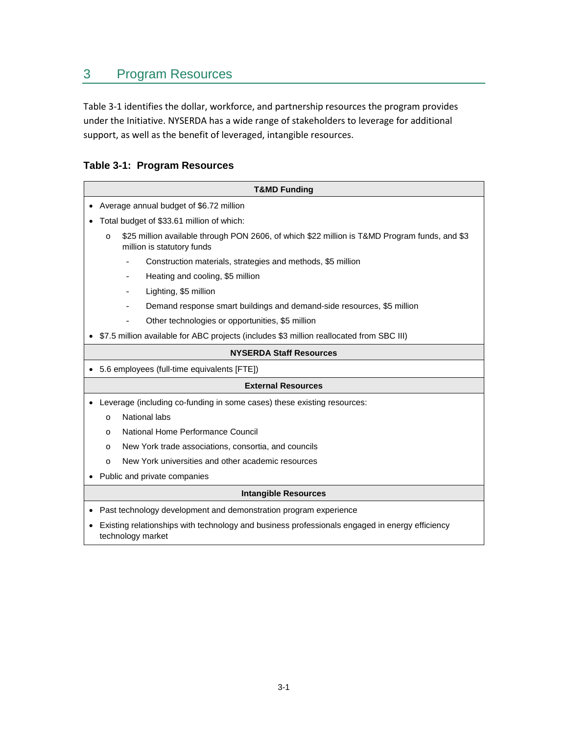# <span id="page-16-0"></span>3 Program Resources

[Table 3-1](#page-16-1) identifies the dollar, workforce, and partnership resources the program provides under the Initiative. NYSERDA has a wide range of stakeholders to leverage for additional support, as well as the benefit of leveraged, intangible resources.

#### <span id="page-16-1"></span>**Table 3-1: Program Resources**

| <b>T&amp;MD Funding</b>                                                                                                                |  |  |
|----------------------------------------------------------------------------------------------------------------------------------------|--|--|
| Average annual budget of \$6.72 million                                                                                                |  |  |
|                                                                                                                                        |  |  |
| Total budget of \$33.61 million of which:                                                                                              |  |  |
| \$25 million available through PON 2606, of which \$22 million is T&MD Program funds, and \$3<br>$\circ$<br>million is statutory funds |  |  |
| Construction materials, strategies and methods, \$5 million                                                                            |  |  |
| Heating and cooling, \$5 million<br>$\overline{\phantom{0}}$                                                                           |  |  |
| Lighting, \$5 million<br>$\qquad \qquad -$                                                                                             |  |  |
| Demand response smart buildings and demand-side resources, \$5 million                                                                 |  |  |
| Other technologies or opportunities, \$5 million                                                                                       |  |  |
| \$7.5 million available for ABC projects (includes \$3 million reallocated from SBC III)                                               |  |  |
| <b>NYSERDA Staff Resources</b>                                                                                                         |  |  |
| 5.6 employees (full-time equivalents [FTE])                                                                                            |  |  |
| <b>External Resources</b>                                                                                                              |  |  |
| Leverage (including co-funding in some cases) these existing resources:                                                                |  |  |
| National labs<br>$\Omega$                                                                                                              |  |  |
| National Home Performance Council<br>$\circ$                                                                                           |  |  |
| New York trade associations, consortia, and councils<br>$\circ$                                                                        |  |  |
| New York universities and other academic resources<br>$\circ$                                                                          |  |  |
| Public and private companies                                                                                                           |  |  |
| <b>Intangible Resources</b>                                                                                                            |  |  |
| Past technology development and demonstration program experience                                                                       |  |  |
| Existing relationships with technology and business professionals engaged in energy efficiency<br>technology market                    |  |  |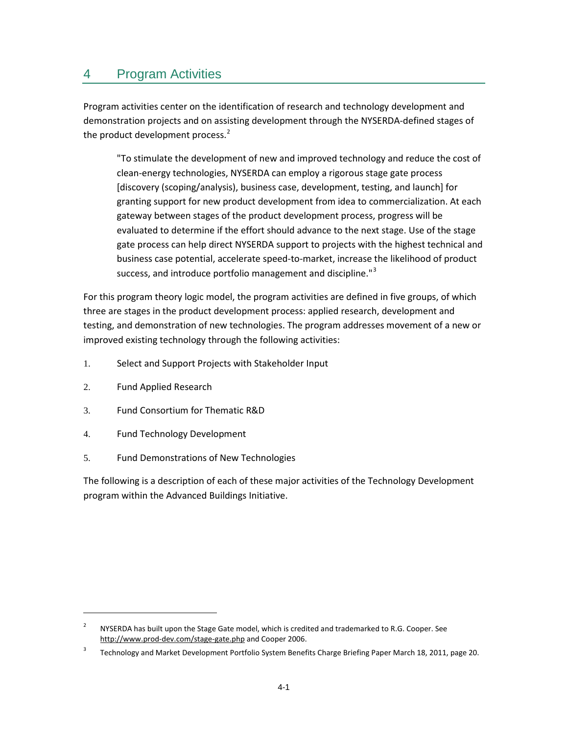## <span id="page-18-0"></span>4 Program Activities

Program activities center on the identification of research and technology development and demonstration projects and on assisting development through the NYSERDA-defined stages of the product development process.<sup>[2](#page-18-1)</sup>

"To stimulate the development of new and improved technology and reduce the cost of clean-energy technologies, NYSERDA can employ a rigorous stage gate process [discovery (scoping/analysis), business case, development, testing, and launch] for granting support for new product development from idea to commercialization. At each gateway between stages of the product development process, progress will be evaluated to determine if the effort should advance to the next stage. Use of the stage gate process can help direct NYSERDA support to projects with the highest technical and business case potential, accelerate speed-to-market, increase the likelihood of product success, and introduce portfolio management and discipline."<sup>[3](#page-18-2)</sup>

For this program theory logic model, the program activities are defined in five groups, of which three are stages in the product development process: applied research, development and testing, and demonstration of new technologies. The program addresses movement of a new or improved existing technology through the following activities:

- 1. Select and Support Projects with Stakeholder Input
- 2. Fund Applied Research

l

- 3. Fund Consortium for Thematic R&D
- 4. Fund Technology Development
- 5. Fund Demonstrations of New Technologies

The following is a description of each of these major activities of the Technology Development program within the Advanced Buildings Initiative.

<span id="page-18-1"></span><sup>&</sup>lt;sup>2</sup> NYSERDA has built upon the Stage Gate model, which is credited and trademarked to R.G. Cooper. See <http://www.prod-dev.com/stage-gate.php> and Cooper 2006.

<span id="page-18-2"></span><sup>&</sup>lt;sup>3</sup> Technology and Market Development Portfolio System Benefits Charge Briefing Paper March 18, 2011, page 20.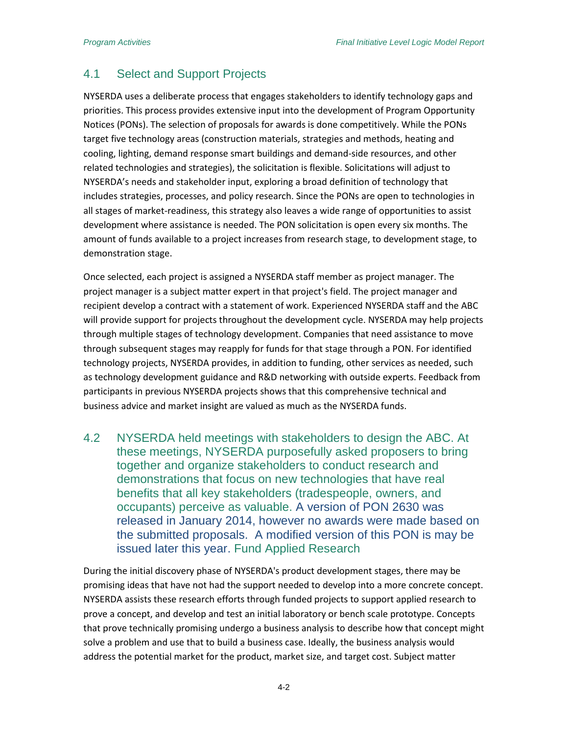## <span id="page-19-0"></span>4.1 Select and Support Projects

NYSERDA uses a deliberate process that engages stakeholders to identify technology gaps and priorities. This process provides extensive input into the development of Program Opportunity Notices (PONs). The selection of proposals for awards is done competitively. While the PONs target five technology areas (construction materials, strategies and methods, heating and cooling, lighting, demand response smart buildings and demand-side resources, and other related technologies and strategies), the solicitation is flexible. Solicitations will adjust to NYSERDA's needs and stakeholder input, exploring a broad definition of technology that includes strategies, processes, and policy research. Since the PONs are open to technologies in all stages of market-readiness, this strategy also leaves a wide range of opportunities to assist development where assistance is needed. The PON solicitation is open every six months. The amount of funds available to a project increases from research stage, to development stage, to demonstration stage.

Once selected, each project is assigned a NYSERDA staff member as project manager. The project manager is a subject matter expert in that project's field. The project manager and recipient develop a contract with a statement of work. Experienced NYSERDA staff and the ABC will provide support for projects throughout the development cycle. NYSERDA may help projects through multiple stages of technology development. Companies that need assistance to move through subsequent stages may reapply for funds for that stage through a PON. For identified technology projects, NYSERDA provides, in addition to funding, other services as needed, such as technology development guidance and R&D networking with outside experts. Feedback from participants in previous NYSERDA projects shows that this comprehensive technical and business advice and market insight are valued as much as the NYSERDA funds.

4.2 NYSERDA held meetings with stakeholders to design the ABC. At these meetings, NYSERDA purposefully asked proposers to bring together and organize stakeholders to conduct research and demonstrations that focus on new technologies that have real benefits that all key stakeholders (tradespeople, owners, and occupants) perceive as valuable. A version of PON 2630 was released in January 2014, however no awards were made based on the submitted proposals. A modified version of this PON is may be issued later this year. Fund Applied Research

<span id="page-19-1"></span>During the initial discovery phase of NYSERDA's product development stages, there may be promising ideas that have not had the support needed to develop into a more concrete concept. NYSERDA assists these research efforts through funded projects to support applied research to prove a concept, and develop and test an initial laboratory or bench scale prototype. Concepts that prove technically promising undergo a business analysis to describe how that concept might solve a problem and use that to build a business case. Ideally, the business analysis would address the potential market for the product, market size, and target cost. Subject matter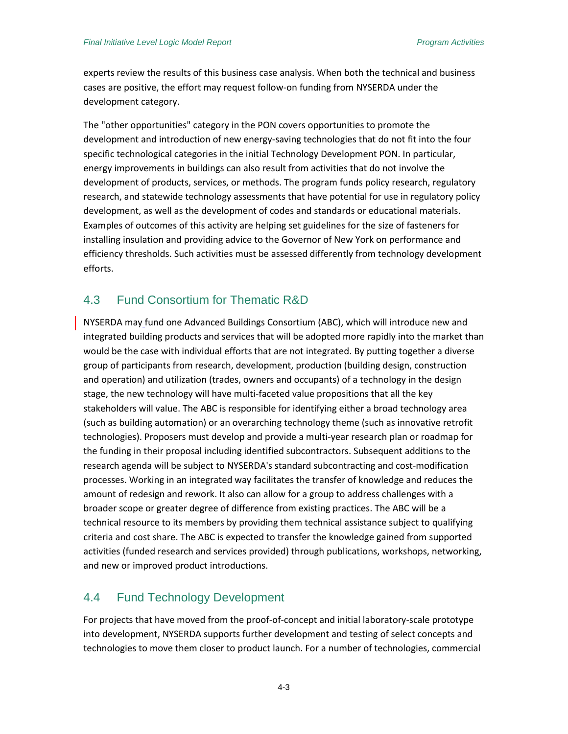experts review the results of this business case analysis. When both the technical and business cases are positive, the effort may request follow-on funding from NYSERDA under the development category.

The "other opportunities" category in the PON covers opportunities to promote the development and introduction of new energy-saving technologies that do not fit into the four specific technological categories in the initial Technology Development PON. In particular, energy improvements in buildings can also result from activities that do not involve the development of products, services, or methods. The program funds policy research, regulatory research, and statewide technology assessments that have potential for use in regulatory policy development, as well as the development of codes and standards or educational materials. Examples of outcomes of this activity are helping set guidelines for the size of fasteners for installing insulation and providing advice to the Governor of New York on performance and efficiency thresholds. Such activities must be assessed differently from technology development efforts.

#### <span id="page-20-0"></span>4.3 Fund Consortium for Thematic R&D

NYSERDA may fund one Advanced Buildings Consortium (ABC), which will introduce new and integrated building products and services that will be adopted more rapidly into the market than would be the case with individual efforts that are not integrated. By putting together a diverse group of participants from research, development, production (building design, construction and operation) and utilization (trades, owners and occupants) of a technology in the design stage, the new technology will have multi-faceted value propositions that all the key stakeholders will value. The ABC is responsible for identifying either a broad technology area (such as building automation) or an overarching technology theme (such as innovative retrofit technologies). Proposers must develop and provide a multi-year research plan or roadmap for the funding in their proposal including identified subcontractors. Subsequent additions to the research agenda will be subject to NYSERDA's standard subcontracting and cost-modification processes. Working in an integrated way facilitates the transfer of knowledge and reduces the amount of redesign and rework. It also can allow for a group to address challenges with a broader scope or greater degree of difference from existing practices. The ABC will be a technical resource to its members by providing them technical assistance subject to qualifying criteria and cost share. The ABC is expected to transfer the knowledge gained from supported activities (funded research and services provided) through publications, workshops, networking, and new or improved product introductions.

#### <span id="page-20-1"></span>4.4 Fund Technology Development

For projects that have moved from the proof-of-concept and initial laboratory-scale prototype into development, NYSERDA supports further development and testing of select concepts and technologies to move them closer to product launch. For a number of technologies, commercial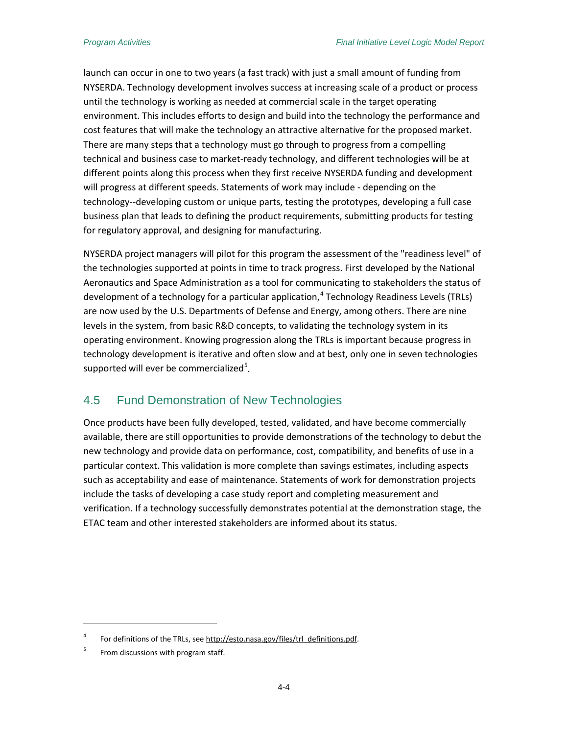launch can occur in one to two years (a fast track) with just a small amount of funding from NYSERDA. Technology development involves success at increasing scale of a product or process until the technology is working as needed at commercial scale in the target operating environment. This includes efforts to design and build into the technology the performance and cost features that will make the technology an attractive alternative for the proposed market. There are many steps that a technology must go through to progress from a compelling technical and business case to market-ready technology, and different technologies will be at different points along this process when they first receive NYSERDA funding and development will progress at different speeds. Statements of work may include - depending on the technology--developing custom or unique parts, testing the prototypes, developing a full case business plan that leads to defining the product requirements, submitting products for testing for regulatory approval, and designing for manufacturing.

NYSERDA project managers will pilot for this program the assessment of the "readiness level" of the technologies supported at points in time to track progress. First developed by the National Aeronautics and Space Administration as a tool for communicating to stakeholders the status of development of a technology for a particular application, [4](#page-21-1) Technology Readiness Levels (TRLs) are now used by the U.S. Departments of Defense and Energy, among others. There are nine levels in the system, from basic R&D concepts, to validating the technology system in its operating environment. Knowing progression along the TRLs is important because progress in technology development is iterative and often slow and at best, only one in seven technologies supported will ever be commercialized<sup>[5](#page-21-2)</sup>.

### <span id="page-21-0"></span>4.5 Fund Demonstration of New Technologies

Once products have been fully developed, tested, validated, and have become commercially available, there are still opportunities to provide demonstrations of the technology to debut the new technology and provide data on performance, cost, compatibility, and benefits of use in a particular context. This validation is more complete than savings estimates, including aspects such as acceptability and ease of maintenance. Statements of work for demonstration projects include the tasks of developing a case study report and completing measurement and verification. If a technology successfully demonstrates potential at the demonstration stage, the ETAC team and other interested stakeholders are informed about its status.

 $\overline{\phantom{a}}$ 

<span id="page-21-1"></span><sup>4</sup> For definitions of the TRLs, se[e http://esto.nasa.gov/files/trl\\_definitions.pdf.](http://esto.nasa.gov/files/trl_definitions.pdf)

<span id="page-21-2"></span><sup>&</sup>lt;sup>5</sup> From discussions with program staff.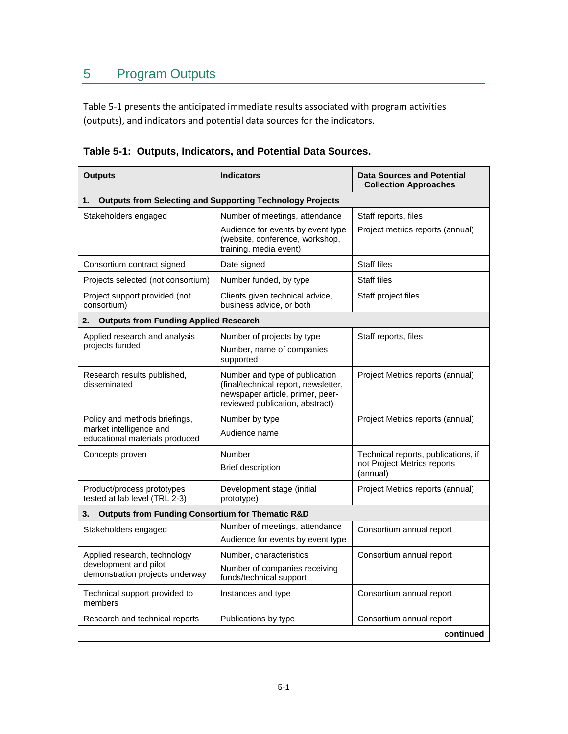# <span id="page-22-0"></span>5 Program Outputs

[Table 5-1](#page-22-1) presents the anticipated immediate results associated with program activities (outputs), and indicators and potential data sources for the indicators.

| <b>Outputs</b>                                                                             | <b>Indicators</b>                                                                                                                             | <b>Data Sources and Potential</b><br><b>Collection Approaches</b>              |  |  |
|--------------------------------------------------------------------------------------------|-----------------------------------------------------------------------------------------------------------------------------------------------|--------------------------------------------------------------------------------|--|--|
| <b>Outputs from Selecting and Supporting Technology Projects</b><br>1.                     |                                                                                                                                               |                                                                                |  |  |
| Stakeholders engaged                                                                       | Number of meetings, attendance                                                                                                                | Staff reports, files                                                           |  |  |
|                                                                                            | Audience for events by event type<br>(website, conference, workshop,<br>training, media event)                                                | Project metrics reports (annual)                                               |  |  |
| Consortium contract signed                                                                 | Date signed                                                                                                                                   | Staff files                                                                    |  |  |
| Projects selected (not consortium)                                                         | Number funded, by type                                                                                                                        | <b>Staff files</b>                                                             |  |  |
| Project support provided (not<br>consortium)                                               | Clients given technical advice,<br>business advice, or both                                                                                   | Staff project files                                                            |  |  |
| <b>Outputs from Funding Applied Research</b><br>2.                                         |                                                                                                                                               |                                                                                |  |  |
| Applied research and analysis<br>projects funded                                           | Number of projects by type<br>Number, name of companies<br>supported                                                                          | Staff reports, files                                                           |  |  |
| Research results published,<br>disseminated                                                | Number and type of publication<br>(final/technical report, newsletter,<br>newspaper article, primer, peer-<br>reviewed publication, abstract) | Project Metrics reports (annual)                                               |  |  |
| Policy and methods briefings,<br>market intelligence and<br>educational materials produced | Number by type<br>Audience name                                                                                                               | Project Metrics reports (annual)                                               |  |  |
| Concepts proven                                                                            | Number<br><b>Brief description</b>                                                                                                            | Technical reports, publications, if<br>not Project Metrics reports<br>(annual) |  |  |
| Product/process prototypes<br>tested at lab level (TRL 2-3)                                | Development stage (initial<br>prototype)                                                                                                      | Project Metrics reports (annual)                                               |  |  |
| <b>Outputs from Funding Consortium for Thematic R&amp;D</b><br>3.                          |                                                                                                                                               |                                                                                |  |  |
| Stakeholders engaged                                                                       | Number of meetings, attendance<br>Audience for events by event type                                                                           | Consortium annual report                                                       |  |  |
| Applied research, technology                                                               | Number, characteristics                                                                                                                       | Consortium annual report                                                       |  |  |
| development and pilot<br>demonstration projects underway                                   | Number of companies receiving<br>funds/technical support                                                                                      |                                                                                |  |  |
| Technical support provided to<br>members                                                   | Instances and type                                                                                                                            | Consortium annual report                                                       |  |  |
| Research and technical reports                                                             | Publications by type                                                                                                                          | Consortium annual report                                                       |  |  |
|                                                                                            |                                                                                                                                               | continued                                                                      |  |  |

<span id="page-22-1"></span>**Table 5-1: Outputs, Indicators, and Potential Data Sources.**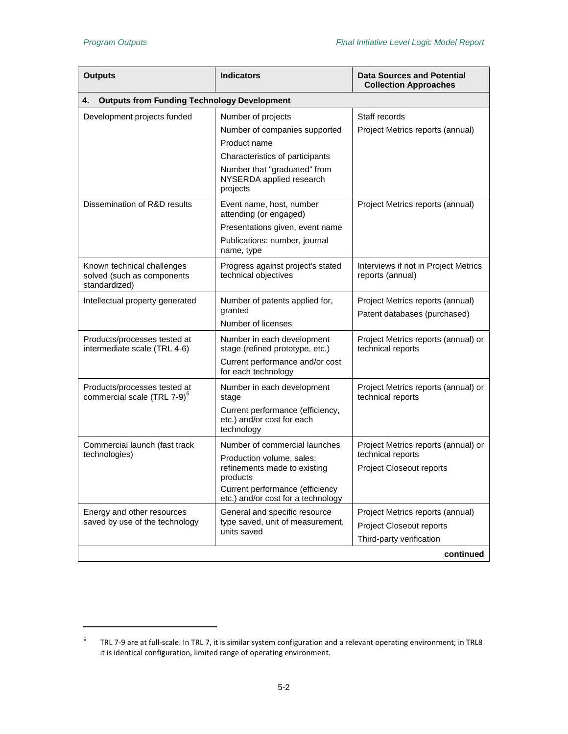l

| <b>Outputs</b>                                                            | <b>Indicators</b>                                                            | <b>Data Sources and Potential</b><br><b>Collection Approaches</b> |  |
|---------------------------------------------------------------------------|------------------------------------------------------------------------------|-------------------------------------------------------------------|--|
| <b>Outputs from Funding Technology Development</b><br>4.                  |                                                                              |                                                                   |  |
| Development projects funded                                               | Number of projects                                                           | Staff records                                                     |  |
|                                                                           | Number of companies supported                                                | Project Metrics reports (annual)                                  |  |
|                                                                           | Product name                                                                 |                                                                   |  |
|                                                                           | Characteristics of participants                                              |                                                                   |  |
|                                                                           | Number that "graduated" from<br>NYSERDA applied research<br>projects         |                                                                   |  |
| Dissemination of R&D results                                              | Event name, host, number<br>attending (or engaged)                           | Project Metrics reports (annual)                                  |  |
|                                                                           | Presentations given, event name                                              |                                                                   |  |
|                                                                           | Publications: number, journal<br>name, type                                  |                                                                   |  |
| Known technical challenges<br>solved (such as components<br>standardized) | Progress against project's stated<br>technical objectives                    | Interviews if not in Project Metrics<br>reports (annual)          |  |
| Intellectual property generated                                           | Number of patents applied for,<br>granted                                    | Project Metrics reports (annual)<br>Patent databases (purchased)  |  |
|                                                                           | Number of licenses                                                           |                                                                   |  |
| Products/processes tested at<br>intermediate scale (TRL 4-6)              | Number in each development<br>stage (refined prototype, etc.)                | Project Metrics reports (annual) or<br>technical reports          |  |
|                                                                           | Current performance and/or cost<br>for each technology                       |                                                                   |  |
| Products/processes tested at<br>commercial scale (TRL 7-9) <sup>6</sup>   | Number in each development<br>stage                                          | Project Metrics reports (annual) or<br>technical reports          |  |
|                                                                           | Current performance (efficiency,<br>etc.) and/or cost for each<br>technology |                                                                   |  |
| Commercial launch (fast track                                             | Number of commercial launches                                                | Project Metrics reports (annual) or                               |  |
| technologies)                                                             | Production volume, sales;<br>refinements made to existing<br>products        | technical reports<br><b>Project Closeout reports</b>              |  |
|                                                                           | Current performance (efficiency<br>etc.) and/or cost for a technology        |                                                                   |  |
| Energy and other resources                                                | General and specific resource                                                | Project Metrics reports (annual)                                  |  |
| saved by use of the technology                                            | type saved, unit of measurement,<br>units saved                              | <b>Project Closeout reports</b>                                   |  |
|                                                                           |                                                                              | Third-party verification                                          |  |
|                                                                           |                                                                              | continued                                                         |  |

<span id="page-23-0"></span><sup>&</sup>lt;sup>6</sup> TRL 7-9 are at full-scale. In TRL 7, it is similar system configuration and a relevant operating environment; in TRL8 it is identical configuration, limited range of operating environment.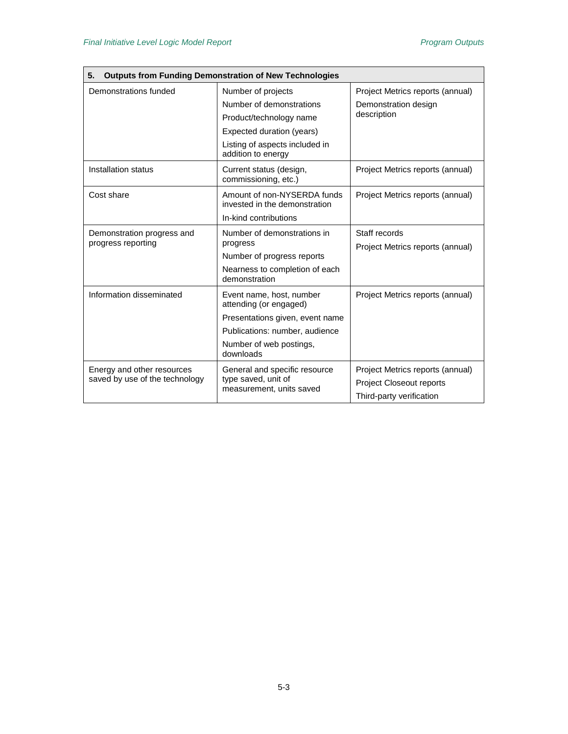| <b>Outputs from Funding Demonstration of New Technologies</b><br>5. |                                                                                  |                                                   |  |
|---------------------------------------------------------------------|----------------------------------------------------------------------------------|---------------------------------------------------|--|
| Demonstrations funded                                               | Number of projects                                                               | Project Metrics reports (annual)                  |  |
|                                                                     | Number of demonstrations                                                         | Demonstration design                              |  |
|                                                                     | Product/technology name                                                          | description                                       |  |
|                                                                     | Expected duration (years)                                                        |                                                   |  |
|                                                                     | Listing of aspects included in<br>addition to energy                             |                                                   |  |
| Installation status                                                 | Current status (design,<br>commissioning, etc.)                                  | Project Metrics reports (annual)                  |  |
| Cost share                                                          | Amount of non-NYSERDA funds<br>invested in the demonstration                     | Project Metrics reports (annual)                  |  |
|                                                                     | In-kind contributions                                                            |                                                   |  |
| Demonstration progress and<br>progress reporting                    | Number of demonstrations in<br>progress                                          | Staff records<br>Project Metrics reports (annual) |  |
|                                                                     | Number of progress reports                                                       |                                                   |  |
|                                                                     | Nearness to completion of each<br>demonstration                                  |                                                   |  |
| Information disseminated                                            | Event name, host, number<br>attending (or engaged)                               | Project Metrics reports (annual)                  |  |
|                                                                     | Presentations given, event name                                                  |                                                   |  |
|                                                                     | Publications: number, audience                                                   |                                                   |  |
|                                                                     | Number of web postings,<br>downloads                                             |                                                   |  |
| Energy and other resources                                          | General and specific resource<br>type saved, unit of<br>measurement, units saved | Project Metrics reports (annual)                  |  |
| saved by use of the technology                                      |                                                                                  | <b>Project Closeout reports</b>                   |  |
|                                                                     |                                                                                  | Third-party verification                          |  |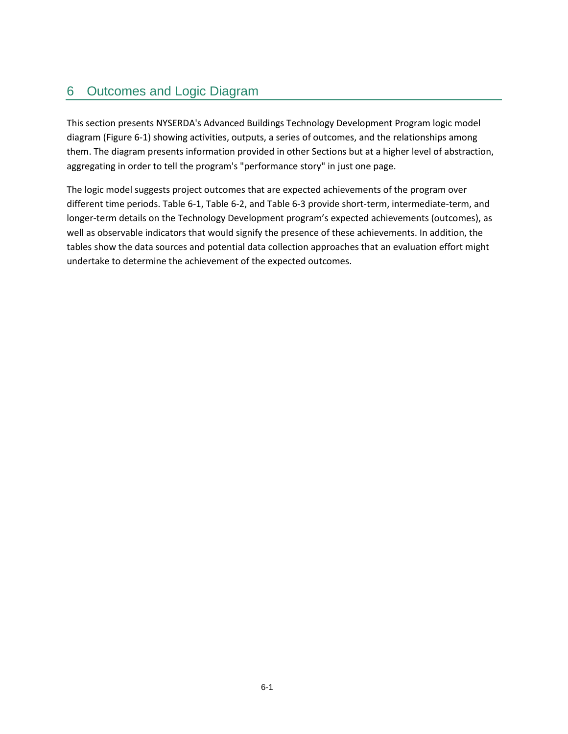# <span id="page-26-0"></span>6 Outcomes and Logic Diagram

This section presents NYSERDA's Advanced Buildings Technology Development Program logic model diagram [\(Figure 6-1\)](#page-27-0) showing activities, outputs, a series of outcomes, and the relationships among them. The diagram presents information provided in other Sections but at a higher level of abstraction, aggregating in order to tell the program's "performance story" in just one page.

The logic model suggests project outcomes that are expected achievements of the program over different time periods[. Table 6-1,](#page-28-0) [Table 6-2,](#page-31-0) and [Table 6-3](#page-32-0) provide short-term, intermediate-term, and longer-term details on the Technology Development program's expected achievements (outcomes), as well as observable indicators that would signify the presence of these achievements. In addition, the tables show the data sources and potential data collection approaches that an evaluation effort might undertake to determine the achievement of the expected outcomes.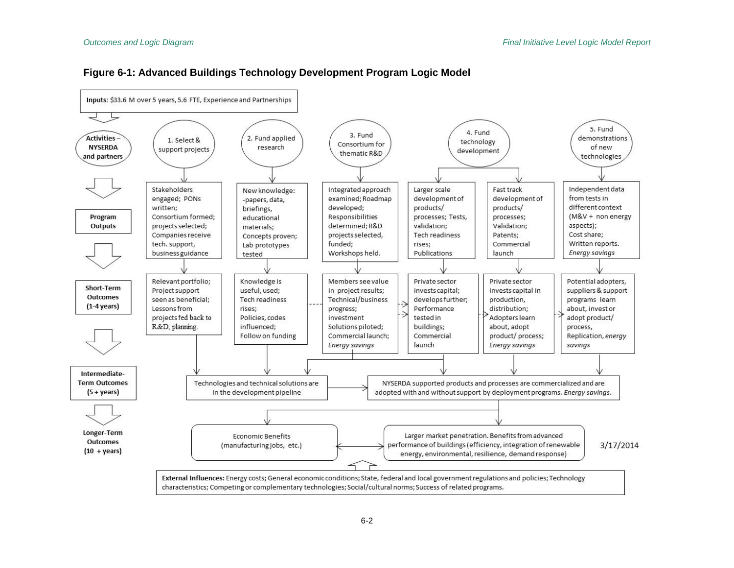<span id="page-27-0"></span>

#### **Figure 6-1: Advanced Buildings Technology Development Program Logic Model**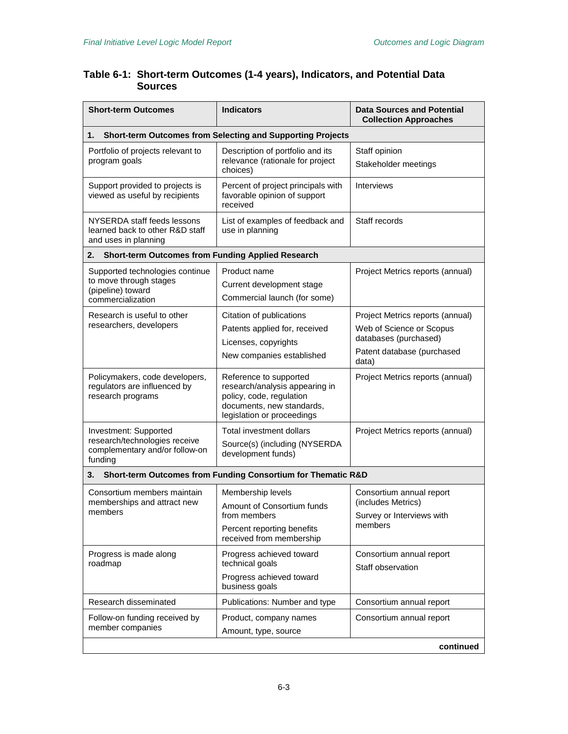#### <span id="page-28-0"></span>**Table 6-1: Short-term Outcomes (1-4 years), Indicators, and Potential Data Sources**

| <b>Short-term Outcomes</b>                                                                          | <b>Indicators</b>                                                                                                                               | <b>Data Sources and Potential</b><br><b>Collection Approaches</b>                                                            |
|-----------------------------------------------------------------------------------------------------|-------------------------------------------------------------------------------------------------------------------------------------------------|------------------------------------------------------------------------------------------------------------------------------|
| 1.                                                                                                  | Short-term Outcomes from Selecting and Supporting Projects                                                                                      |                                                                                                                              |
| Portfolio of projects relevant to<br>program goals                                                  | Description of portfolio and its<br>relevance (rationale for project<br>choices)                                                                | Staff opinion<br>Stakeholder meetings                                                                                        |
| Support provided to projects is<br>viewed as useful by recipients                                   | Percent of project principals with<br>favorable opinion of support<br>received                                                                  | Interviews                                                                                                                   |
| NYSERDA staff feeds lessons<br>learned back to other R&D staff<br>and uses in planning              | List of examples of feedback and<br>use in planning                                                                                             | Staff records                                                                                                                |
| <b>Short-term Outcomes from Funding Applied Research</b><br>2.                                      |                                                                                                                                                 |                                                                                                                              |
| Supported technologies continue<br>to move through stages<br>(pipeline) toward<br>commercialization | Product name<br>Current development stage<br>Commercial launch (for some)                                                                       | Project Metrics reports (annual)                                                                                             |
| Research is useful to other<br>researchers, developers                                              | Citation of publications<br>Patents applied for, received<br>Licenses, copyrights<br>New companies established                                  | Project Metrics reports (annual)<br>Web of Science or Scopus<br>databases (purchased)<br>Patent database (purchased<br>data) |
| Policymakers, code developers,<br>regulators are influenced by<br>research programs                 | Reference to supported<br>research/analysis appearing in<br>policy, code, regulation<br>documents, new standards,<br>legislation or proceedings | Project Metrics reports (annual)                                                                                             |
| Investment: Supported<br>research/technologies receive<br>complementary and/or follow-on<br>funding | Total investment dollars<br>Source(s) (including (NYSERDA<br>development funds)                                                                 | Project Metrics reports (annual)                                                                                             |
| 3.                                                                                                  | Short-term Outcomes from Funding Consortium for Thematic R&D                                                                                    |                                                                                                                              |
| Consortium members maintain<br>memberships and attract new<br>members                               | Membership levels<br>Amount of Consortium funds<br>from members<br>Percent reporting benefits<br>received from membership                       | Consortium annual report<br>(includes Metrics)<br>Survey or Interviews with<br>members                                       |
| Progress is made along<br>roadmap                                                                   | Progress achieved toward<br>technical goals<br>Progress achieved toward<br>business goals                                                       | Consortium annual report<br>Staff observation                                                                                |
| Research disseminated                                                                               | Publications: Number and type                                                                                                                   | Consortium annual report                                                                                                     |
| Follow-on funding received by<br>member companies                                                   | Product, company names<br>Amount, type, source                                                                                                  | Consortium annual report                                                                                                     |
|                                                                                                     |                                                                                                                                                 | continued                                                                                                                    |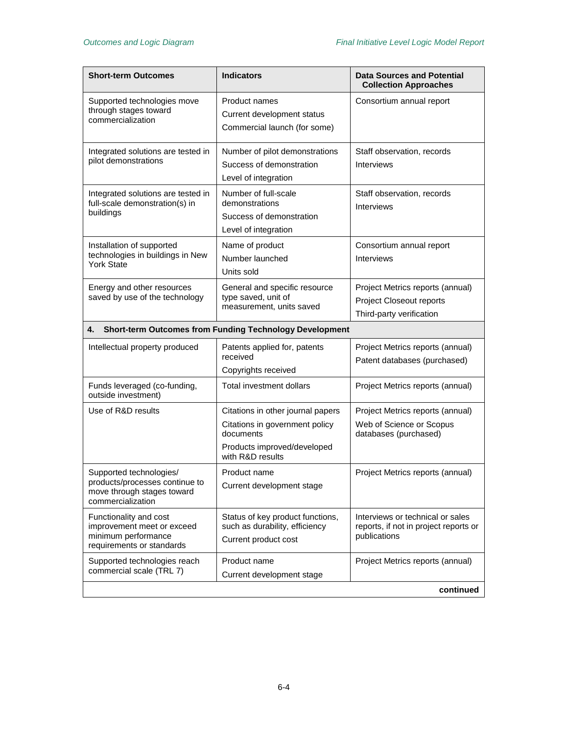| <b>Short-term Outcomes</b>                                                                                   | <b>Indicators</b>                                                                                                                   | <b>Data Sources and Potential</b><br><b>Collection Approaches</b>                         |
|--------------------------------------------------------------------------------------------------------------|-------------------------------------------------------------------------------------------------------------------------------------|-------------------------------------------------------------------------------------------|
| Supported technologies move<br>through stages toward<br>commercialization                                    | Product names<br>Current development status<br>Commercial launch (for some)                                                         | Consortium annual report                                                                  |
| Integrated solutions are tested in<br>pilot demonstrations                                                   | Number of pilot demonstrations<br>Success of demonstration<br>Level of integration                                                  | Staff observation, records<br><b>Interviews</b>                                           |
| Integrated solutions are tested in<br>full-scale demonstration(s) in<br>buildings                            | Number of full-scale<br>demonstrations<br>Success of demonstration<br>Level of integration                                          | Staff observation, records<br>Interviews                                                  |
| Installation of supported<br>technologies in buildings in New<br><b>York State</b>                           | Name of product<br>Number launched<br>Units sold                                                                                    | Consortium annual report<br><b>Interviews</b>                                             |
| Energy and other resources<br>saved by use of the technology                                                 | General and specific resource<br>type saved, unit of<br>measurement, units saved                                                    | Project Metrics reports (annual)<br>Project Closeout reports<br>Third-party verification  |
| 4.                                                                                                           | <b>Short-term Outcomes from Funding Technology Development</b>                                                                      |                                                                                           |
| Intellectual property produced                                                                               | Patents applied for, patents<br>received<br>Copyrights received                                                                     | Project Metrics reports (annual)<br>Patent databases (purchased)                          |
| Funds leveraged (co-funding,<br>outside investment)                                                          | Total investment dollars                                                                                                            | Project Metrics reports (annual)                                                          |
| Use of R&D results                                                                                           | Citations in other journal papers<br>Citations in government policy<br>documents<br>Products improved/developed<br>with R&D results | Project Metrics reports (annual)<br>Web of Science or Scopus<br>databases (purchased)     |
| Supported technologies/<br>products/processes continue to<br>move through stages toward<br>commercialization | Product name<br>Current development stage                                                                                           | Project Metrics reports (annual)                                                          |
| Functionality and cost<br>improvement meet or exceed<br>minimum performance<br>requirements or standards     | Status of key product functions,<br>such as durability, efficiency<br>Current product cost                                          | Interviews or technical or sales<br>reports, if not in project reports or<br>publications |
| Supported technologies reach<br>commercial scale (TRL 7)                                                     | Product name<br>Current development stage                                                                                           | Project Metrics reports (annual)                                                          |
|                                                                                                              |                                                                                                                                     | continued                                                                                 |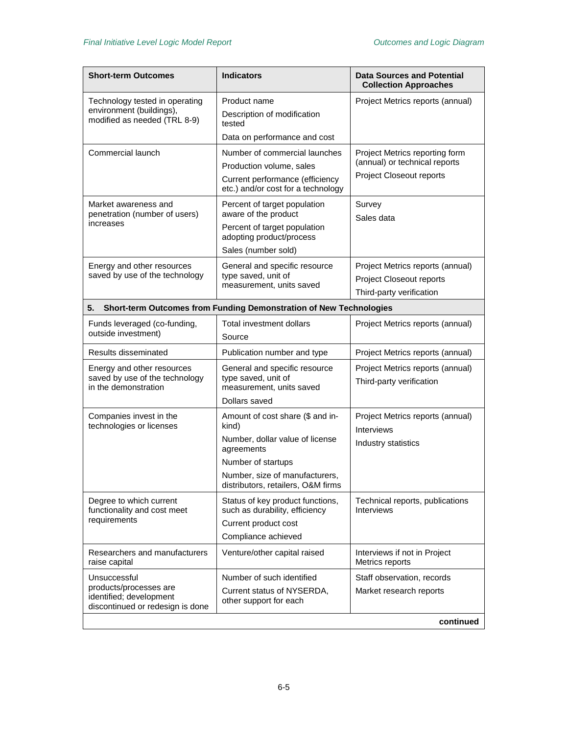| Short-term Outcomes                                                                                   | <b>Indicators</b>                                                                                                                                                                        | <b>Data Sources and Potential</b><br><b>Collection Approaches</b>                           |
|-------------------------------------------------------------------------------------------------------|------------------------------------------------------------------------------------------------------------------------------------------------------------------------------------------|---------------------------------------------------------------------------------------------|
| Technology tested in operating<br>environment (buildings),<br>modified as needed (TRL 8-9)            | Product name<br>Description of modification<br>tested<br>Data on performance and cost                                                                                                    | Project Metrics reports (annual)                                                            |
| Commercial launch                                                                                     | Number of commercial launches<br>Production volume, sales<br>Current performance (efficiency<br>etc.) and/or cost for a technology                                                       | Project Metrics reporting form<br>(annual) or technical reports<br>Project Closeout reports |
| Market awareness and<br>penetration (number of users)<br>increases                                    | Percent of target population<br>aware of the product<br>Percent of target population<br>adopting product/process<br>Sales (number sold)                                                  | Survey<br>Sales data                                                                        |
| Energy and other resources<br>saved by use of the technology                                          | General and specific resource<br>type saved, unit of<br>measurement, units saved                                                                                                         | Project Metrics reports (annual)<br>Project Closeout reports<br>Third-party verification    |
| 5.                                                                                                    | Short-term Outcomes from Funding Demonstration of New Technologies                                                                                                                       |                                                                                             |
| Funds leveraged (co-funding,<br>outside investment)                                                   | Total investment dollars<br>Source                                                                                                                                                       | Project Metrics reports (annual)                                                            |
| Results disseminated                                                                                  | Publication number and type                                                                                                                                                              | Project Metrics reports (annual)                                                            |
| Energy and other resources<br>saved by use of the technology<br>in the demonstration                  | General and specific resource<br>type saved, unit of<br>measurement, units saved<br>Dollars saved                                                                                        | Project Metrics reports (annual)<br>Third-party verification                                |
| Companies invest in the<br>technologies or licenses                                                   | Amount of cost share (\$ and in-<br>kind)<br>Number, dollar value of license<br>agreements<br>Number of startups<br>Number, size of manufacturers,<br>distributors, retailers, O&M firms | Project Metrics reports (annual)<br><b>Interviews</b><br>Industry statistics                |
| Degree to which current<br>functionality and cost meet<br>requirements                                | Status of key product functions,<br>such as durability, efficiency<br>Current product cost<br>Compliance achieved                                                                        | Technical reports, publications<br><b>Interviews</b>                                        |
| Researchers and manufacturers<br>raise capital                                                        | Venture/other capital raised                                                                                                                                                             | Interviews if not in Project<br>Metrics reports                                             |
| Unsuccessful<br>products/processes are<br>identified; development<br>discontinued or redesign is done | Number of such identified<br>Current status of NYSERDA,<br>other support for each                                                                                                        | Staff observation, records<br>Market research reports<br>continued                          |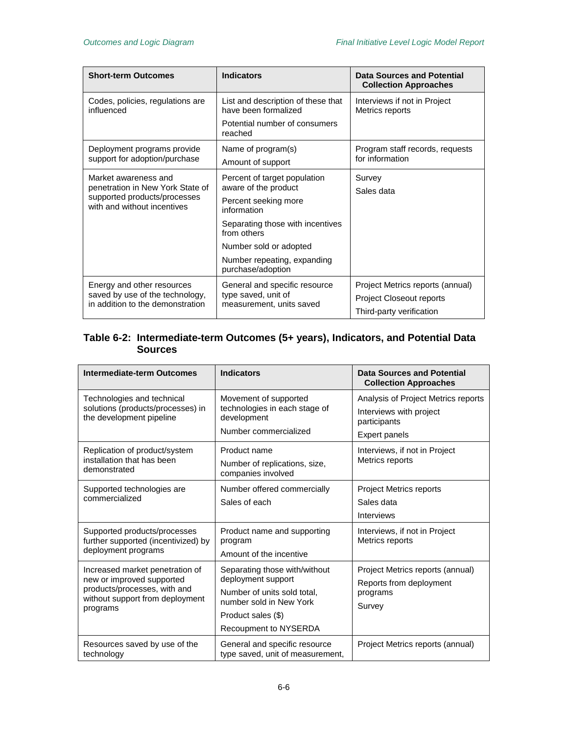| <b>Short-term Outcomes</b>                                                                                              | <b>Indicators</b>                                                                | Data Sources and Potential<br><b>Collection Approaches</b> |
|-------------------------------------------------------------------------------------------------------------------------|----------------------------------------------------------------------------------|------------------------------------------------------------|
| Codes, policies, regulations are<br>influenced                                                                          | List and description of these that<br>have been formalized                       | Interviews if not in Project<br>Metrics reports            |
|                                                                                                                         | Potential number of consumers<br>reached                                         |                                                            |
| Deployment programs provide<br>support for adoption/purchase                                                            | Name of program(s)                                                               | Program staff records, requests<br>for information         |
|                                                                                                                         | Amount of support                                                                |                                                            |
| Market awareness and<br>penetration in New York State of<br>supported products/processes<br>with and without incentives | Percent of target population<br>aware of the product                             | Survey                                                     |
|                                                                                                                         | Percent seeking more<br>information                                              | Sales data                                                 |
|                                                                                                                         | Separating those with incentives<br>from others                                  |                                                            |
|                                                                                                                         | Number sold or adopted                                                           |                                                            |
|                                                                                                                         | Number repeating, expanding<br>purchase/adoption                                 |                                                            |
| Energy and other resources<br>saved by use of the technology,<br>in addition to the demonstration                       | General and specific resource<br>type saved, unit of<br>measurement, units saved | Project Metrics reports (annual)                           |
|                                                                                                                         |                                                                                  | <b>Project Closeout reports</b>                            |
|                                                                                                                         |                                                                                  | Third-party verification                                   |

#### <span id="page-31-0"></span>**Table 6-2: Intermediate-term Outcomes (5+ years), Indicators, and Potential Data Sources**

| <b>Intermediate-term Outcomes</b>                                                                                                           | <b>Indicators</b>                                                                                                                                            | Data Sources and Potential<br><b>Collection Approaches</b>                                      |
|---------------------------------------------------------------------------------------------------------------------------------------------|--------------------------------------------------------------------------------------------------------------------------------------------------------------|-------------------------------------------------------------------------------------------------|
| Technologies and technical<br>solutions (products/processes) in<br>the development pipeline                                                 | Movement of supported<br>technologies in each stage of<br>development<br>Number commercialized                                                               | Analysis of Project Metrics reports<br>Interviews with project<br>participants<br>Expert panels |
| Replication of product/system<br>installation that has been<br>demonstrated                                                                 | Product name<br>Number of replications, size,<br>companies involved                                                                                          | Interviews, if not in Project<br>Metrics reports                                                |
| Supported technologies are<br>commercialized                                                                                                | Number offered commercially<br>Sales of each                                                                                                                 | Project Metrics reports<br>Sales data<br><b>Interviews</b>                                      |
| Supported products/processes<br>further supported (incentivized) by<br>deployment programs                                                  | Product name and supporting<br>program<br>Amount of the incentive                                                                                            | Interviews, if not in Project<br>Metrics reports                                                |
| Increased market penetration of<br>new or improved supported<br>products/processes, with and<br>without support from deployment<br>programs | Separating those with/without<br>deployment support<br>Number of units sold total.<br>number sold in New York<br>Product sales (\$)<br>Recoupment to NYSERDA | Project Metrics reports (annual)<br>Reports from deployment<br>programs<br>Survey               |
| Resources saved by use of the<br>technology                                                                                                 | General and specific resource<br>type saved, unit of measurement,                                                                                            | Project Metrics reports (annual)                                                                |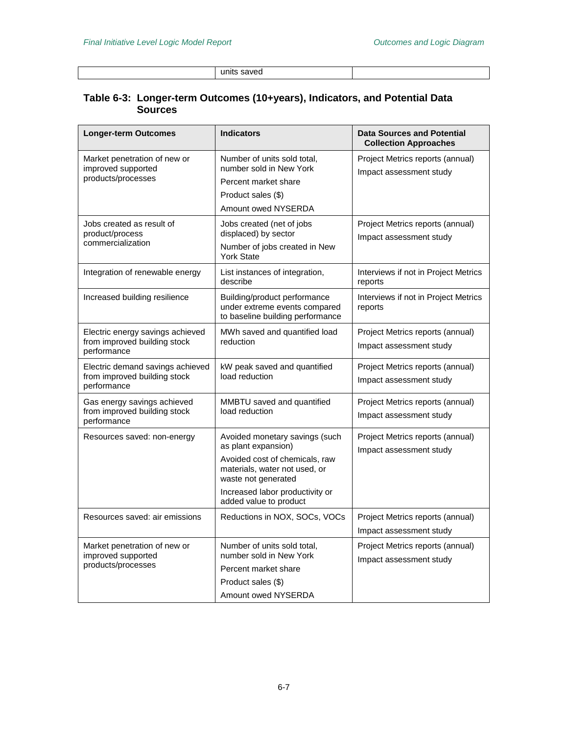units saved

#### <span id="page-32-0"></span>**Table 6-3: Longer-term Outcomes (10+years), Indicators, and Potential Data Sources**

| <b>Longer-term Outcomes</b>                                                     | <b>Indicators</b>                                                                                                                                                                                            | <b>Data Sources and Potential</b><br><b>Collection Approaches</b> |
|---------------------------------------------------------------------------------|--------------------------------------------------------------------------------------------------------------------------------------------------------------------------------------------------------------|-------------------------------------------------------------------|
| Market penetration of new or<br>improved supported<br>products/processes        | Number of units sold total,<br>number sold in New York<br>Percent market share<br>Product sales (\$)<br>Amount owed NYSERDA                                                                                  | Project Metrics reports (annual)<br>Impact assessment study       |
| Jobs created as result of<br>product/process<br>commercialization               | Jobs created (net of jobs<br>displaced) by sector<br>Number of jobs created in New<br><b>York State</b>                                                                                                      | Project Metrics reports (annual)<br>Impact assessment study       |
| Integration of renewable energy                                                 | List instances of integration,<br>describe                                                                                                                                                                   | Interviews if not in Project Metrics<br>reports                   |
| Increased building resilience                                                   | Building/product performance<br>under extreme events compared<br>to baseline building performance                                                                                                            | Interviews if not in Project Metrics<br>reports                   |
| Electric energy savings achieved<br>from improved building stock<br>performance | MWh saved and quantified load<br>reduction                                                                                                                                                                   | Project Metrics reports (annual)<br>Impact assessment study       |
| Electric demand savings achieved<br>from improved building stock<br>performance | kW peak saved and quantified<br>load reduction                                                                                                                                                               | Project Metrics reports (annual)<br>Impact assessment study       |
| Gas energy savings achieved<br>from improved building stock<br>performance      | MMBTU saved and quantified<br>load reduction                                                                                                                                                                 | Project Metrics reports (annual)<br>Impact assessment study       |
| Resources saved: non-energy                                                     | Avoided monetary savings (such<br>as plant expansion)<br>Avoided cost of chemicals, raw<br>materials, water not used, or<br>waste not generated<br>Increased labor productivity or<br>added value to product | Project Metrics reports (annual)<br>Impact assessment study       |
| Resources saved: air emissions                                                  | Reductions in NOX, SOCs, VOCs                                                                                                                                                                                | Project Metrics reports (annual)<br>Impact assessment study       |
| Market penetration of new or<br>improved supported<br>products/processes        | Number of units sold total,<br>number sold in New York<br>Percent market share<br>Product sales (\$)<br>Amount owed NYSERDA                                                                                  | Project Metrics reports (annual)<br>Impact assessment study       |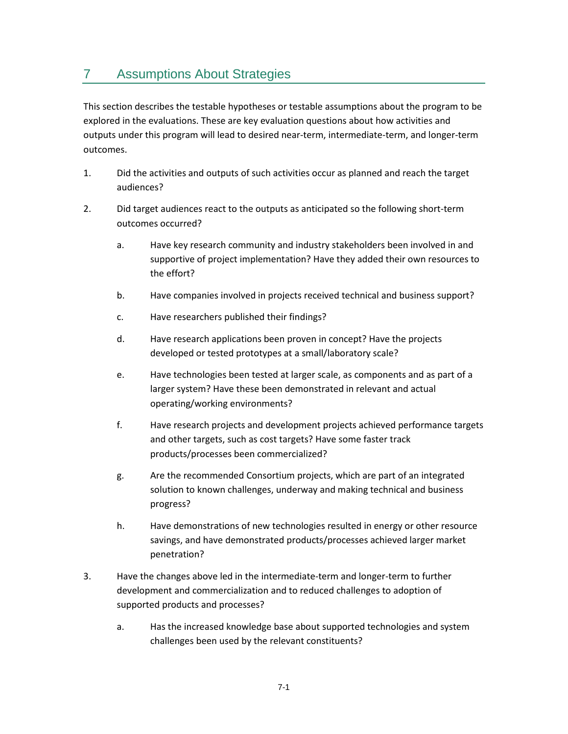# <span id="page-34-0"></span>7 Assumptions About Strategies

This section describes the testable hypotheses or testable assumptions about the program to be explored in the evaluations. These are key evaluation questions about how activities and outputs under this program will lead to desired near-term, intermediate-term, and longer-term outcomes.

- 1. Did the activities and outputs of such activities occur as planned and reach the target audiences?
- 2. Did target audiences react to the outputs as anticipated so the following short-term outcomes occurred?
	- a. Have key research community and industry stakeholders been involved in and supportive of project implementation? Have they added their own resources to the effort?
	- b. Have companies involved in projects received technical and business support?
	- c. Have researchers published their findings?
	- d. Have research applications been proven in concept? Have the projects developed or tested prototypes at a small/laboratory scale?
	- e. Have technologies been tested at larger scale, as components and as part of a larger system? Have these been demonstrated in relevant and actual operating/working environments?
	- f. Have research projects and development projects achieved performance targets and other targets, such as cost targets? Have some faster track products/processes been commercialized?
	- g. Are the recommended Consortium projects, which are part of an integrated solution to known challenges, underway and making technical and business progress?
	- h. Have demonstrations of new technologies resulted in energy or other resource savings, and have demonstrated products/processes achieved larger market penetration?
- 3. Have the changes above led in the intermediate-term and longer-term to further development and commercialization and to reduced challenges to adoption of supported products and processes?
	- a. Has the increased knowledge base about supported technologies and system challenges been used by the relevant constituents?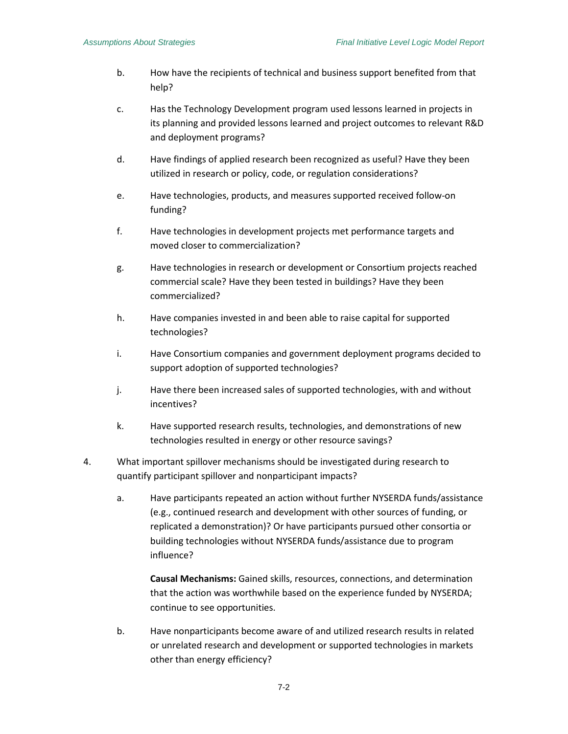- b. How have the recipients of technical and business support benefited from that help?
- c. Has the Technology Development program used lessons learned in projects in its planning and provided lessons learned and project outcomes to relevant R&D and deployment programs?
- d. Have findings of applied research been recognized as useful? Have they been utilized in research or policy, code, or regulation considerations?
- e. Have technologies, products, and measures supported received follow-on funding?
- f. Have technologies in development projects met performance targets and moved closer to commercialization?
- g. Have technologies in research or development or Consortium projects reached commercial scale? Have they been tested in buildings? Have they been commercialized?
- h. Have companies invested in and been able to raise capital for supported technologies?
- i. Have Consortium companies and government deployment programs decided to support adoption of supported technologies?
- j. Have there been increased sales of supported technologies, with and without incentives?
- k. Have supported research results, technologies, and demonstrations of new technologies resulted in energy or other resource savings?
- 4. What important spillover mechanisms should be investigated during research to quantify participant spillover and nonparticipant impacts?
	- a. Have participants repeated an action without further NYSERDA funds/assistance (e.g., continued research and development with other sources of funding, or replicated a demonstration)? Or have participants pursued other consortia or building technologies without NYSERDA funds/assistance due to program influence?

**Causal Mechanisms:** Gained skills, resources, connections, and determination that the action was worthwhile based on the experience funded by NYSERDA; continue to see opportunities.

b. Have nonparticipants become aware of and utilized research results in related or unrelated research and development or supported technologies in markets other than energy efficiency?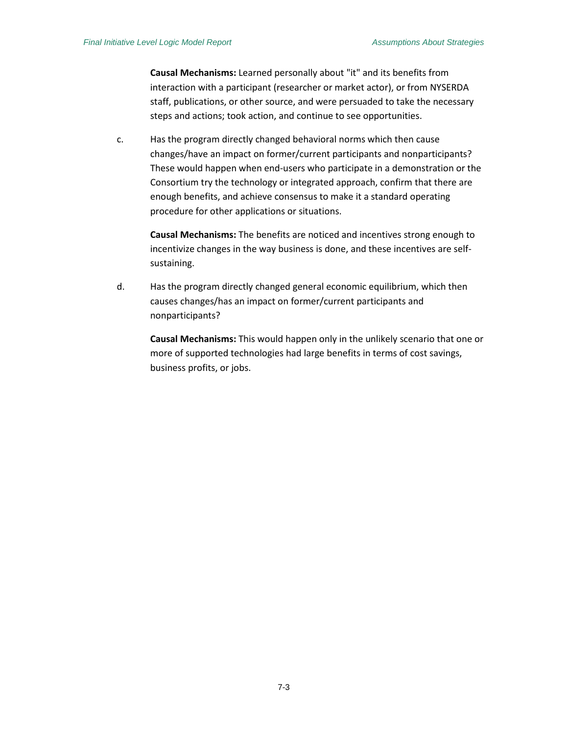**Causal Mechanisms:** Learned personally about "it" and its benefits from interaction with a participant (researcher or market actor), or from NYSERDA staff, publications, or other source, and were persuaded to take the necessary steps and actions; took action, and continue to see opportunities.

c. Has the program directly changed behavioral norms which then cause changes/have an impact on former/current participants and nonparticipants? These would happen when end-users who participate in a demonstration or the Consortium try the technology or integrated approach, confirm that there are enough benefits, and achieve consensus to make it a standard operating procedure for other applications or situations.

**Causal Mechanisms:** The benefits are noticed and incentives strong enough to incentivize changes in the way business is done, and these incentives are selfsustaining.

d. Has the program directly changed general economic equilibrium, which then causes changes/has an impact on former/current participants and nonparticipants?

**Causal Mechanisms:** This would happen only in the unlikely scenario that one or more of supported technologies had large benefits in terms of cost savings, business profits, or jobs.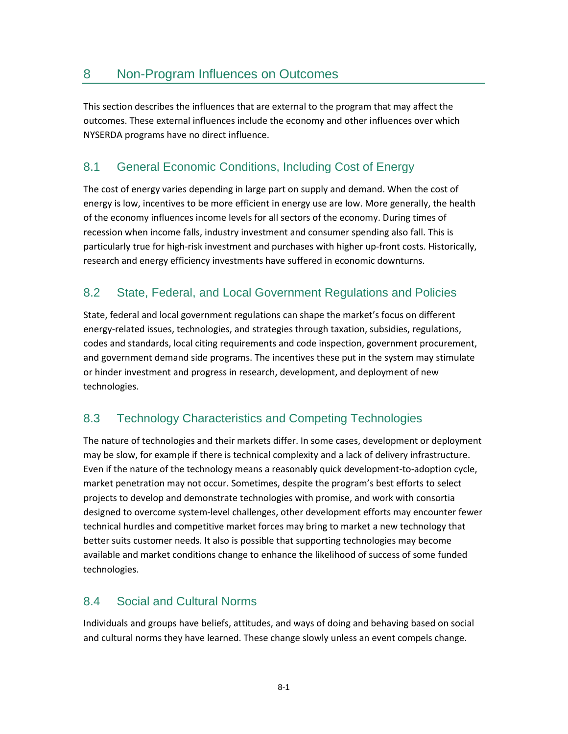<span id="page-38-0"></span>This section describes the influences that are external to the program that may affect the outcomes. These external influences include the economy and other influences over which NYSERDA programs have no direct influence.

# <span id="page-38-1"></span>8.1 General Economic Conditions, Including Cost of Energy

The cost of energy varies depending in large part on supply and demand. When the cost of energy is low, incentives to be more efficient in energy use are low. More generally, the health of the economy influences income levels for all sectors of the economy. During times of recession when income falls, industry investment and consumer spending also fall. This is particularly true for high-risk investment and purchases with higher up-front costs. Historically, research and energy efficiency investments have suffered in economic downturns.

## <span id="page-38-2"></span>8.2 State, Federal, and Local Government Regulations and Policies

State, federal and local government regulations can shape the market's focus on different energy-related issues, technologies, and strategies through taxation, subsidies, regulations, codes and standards, local citing requirements and code inspection, government procurement, and government demand side programs. The incentives these put in the system may stimulate or hinder investment and progress in research, development, and deployment of new technologies.

## <span id="page-38-3"></span>8.3 Technology Characteristics and Competing Technologies

The nature of technologies and their markets differ. In some cases, development or deployment may be slow, for example if there is technical complexity and a lack of delivery infrastructure. Even if the nature of the technology means a reasonably quick development-to-adoption cycle, market penetration may not occur. Sometimes, despite the program's best efforts to select projects to develop and demonstrate technologies with promise, and work with consortia designed to overcome system-level challenges, other development efforts may encounter fewer technical hurdles and competitive market forces may bring to market a new technology that better suits customer needs. It also is possible that supporting technologies may become available and market conditions change to enhance the likelihood of success of some funded technologies.

### <span id="page-38-4"></span>8.4 Social and Cultural Norms

Individuals and groups have beliefs, attitudes, and ways of doing and behaving based on social and cultural norms they have learned. These change slowly unless an event compels change.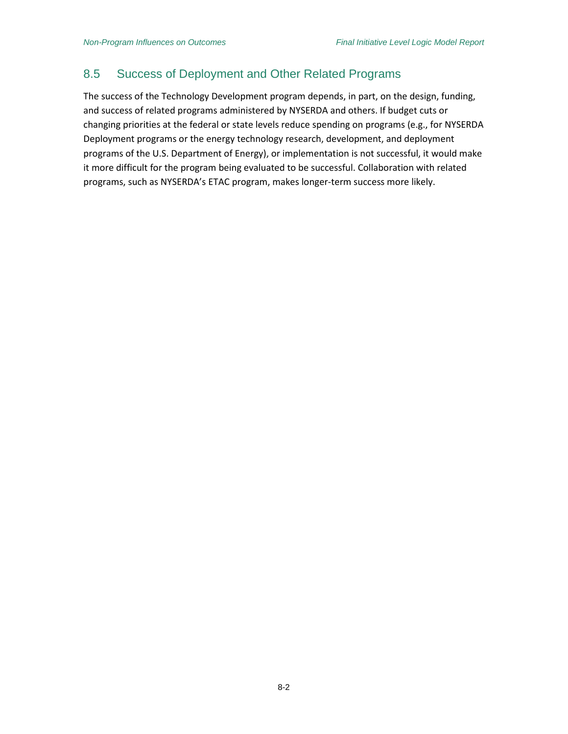#### <span id="page-39-0"></span>8.5 Success of Deployment and Other Related Programs

The success of the Technology Development program depends, in part, on the design, funding, and success of related programs administered by NYSERDA and others. If budget cuts or changing priorities at the federal or state levels reduce spending on programs (e.g., for NYSERDA Deployment programs or the energy technology research, development, and deployment programs of the U.S. Department of Energy), or implementation is not successful, it would make it more difficult for the program being evaluated to be successful. Collaboration with related programs, such as NYSERDA's ETAC program, makes longer-term success more likely.